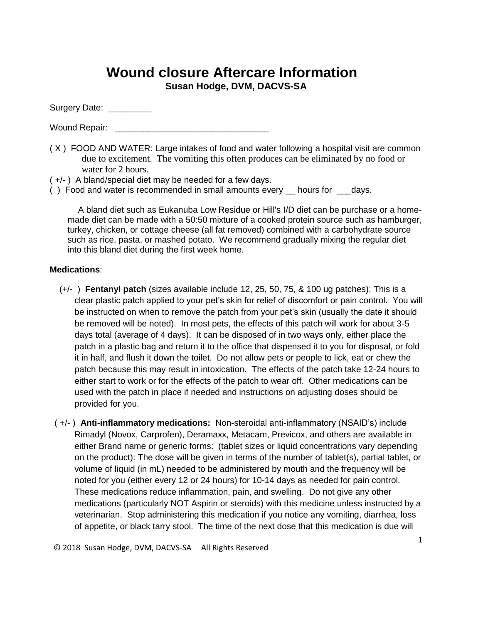## **Wound closure Aftercare Information**

**Susan Hodge, DVM, DACVS-SA**

Surgery Date: \_\_\_\_\_\_\_\_\_

Wound Repair:

- ( X ) FOOD AND WATER: Large intakes of food and water following a hospital visit are common due to excitement. The vomiting this often produces can be eliminated by no food or water for 2 hours.
- ( +/- ) A bland/special diet may be needed for a few days.
- () Food and water is recommended in small amounts every \_\_\_ hours for \_\_\_\_days.

A bland diet such as Eukanuba Low Residue or Hill's I/D diet can be purchase or a homemade diet can be made with a 50:50 mixture of a cooked protein source such as hamburger, turkey, chicken, or cottage cheese (all fat removed) combined with a carbohydrate source such as rice, pasta, or mashed potato. We recommend gradually mixing the regular diet into this bland diet during the first week home.

## **Medications**:

- (+/- ) **Fentanyl patch** (sizes available include 12, 25, 50, 75, & 100 ug patches): This is a clear plastic patch applied to your pet's skin for relief of discomfort or pain control. You will be instructed on when to remove the patch from your pet's skin (usually the date it should be removed will be noted). In most pets, the effects of this patch will work for about 3-5 days total (average of 4 days). It can be disposed of in two ways only, either place the patch in a plastic bag and return it to the office that dispensed it to you for disposal, or fold it in half, and flush it down the toilet. Do not allow pets or people to lick, eat or chew the patch because this may result in intoxication. The effects of the patch take 12-24 hours to either start to work or for the effects of the patch to wear off. Other medications can be used with the patch in place if needed and instructions on adjusting doses should be provided for you.
- ( +/- ) **Anti-inflammatory medications:** Non-steroidal anti-inflammatory (NSAID's) include Rimadyl (Novox, Carprofen), Deramaxx, Metacam, Previcox, and others are available in either Brand name or generic forms: (tablet sizes or liquid concentrations vary depending on the product): The dose will be given in terms of the number of tablet(s), partial tablet, or volume of liquid (in mL) needed to be administered by mouth and the frequency will be noted for you (either every 12 or 24 hours) for 10-14 days as needed for pain control. These medications reduce inflammation, pain, and swelling. Do not give any other medications (particularly NOT Aspirin or steroids) with this medicine unless instructed by a veterinarian. Stop administering this medication if you notice any vomiting, diarrhea, loss of appetite, or black tarry stool. The time of the next dose that this medication is due will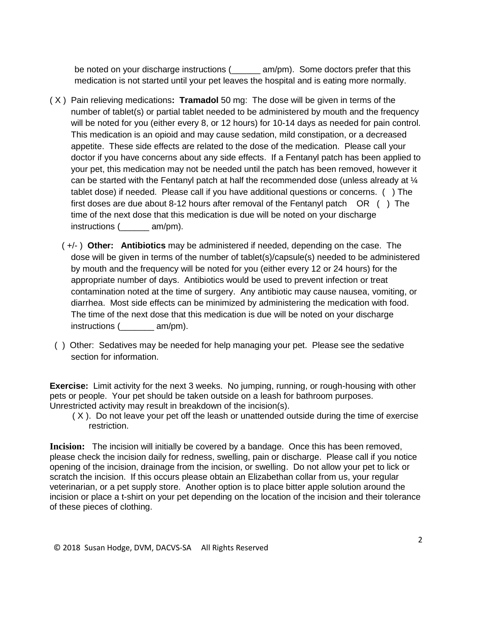be noted on your discharge instructions ( $am/m$ ). Some doctors prefer that this medication is not started until your pet leaves the hospital and is eating more normally.

- ( X ) Pain relieving medications**: Tramadol** 50 mg: The dose will be given in terms of the number of tablet(s) or partial tablet needed to be administered by mouth and the frequency will be noted for you (either every 8, or 12 hours) for 10-14 days as needed for pain control. This medication is an opioid and may cause sedation, mild constipation, or a decreased appetite. These side effects are related to the dose of the medication. Please call your doctor if you have concerns about any side effects. If a Fentanyl patch has been applied to your pet, this medication may not be needed until the patch has been removed, however it can be started with the Fentanyl patch at half the recommended dose (unless already at  $\mathcal{U}$ tablet dose) if needed. Please call if you have additional questions or concerns. ( ) The first doses are due about 8-12 hours after removal of the Fentanyl patch OR ( ) The time of the next dose that this medication is due will be noted on your discharge instructions (\_\_\_\_\_\_ am/pm).
	- ( +/- ) **Other: Antibiotics** may be administered if needed, depending on the case. The dose will be given in terms of the number of tablet(s)/capsule(s) needed to be administered by mouth and the frequency will be noted for you (either every 12 or 24 hours) for the appropriate number of days. Antibiotics would be used to prevent infection or treat contamination noted at the time of surgery. Any antibiotic may cause nausea, vomiting, or diarrhea. Most side effects can be minimized by administering the medication with food. The time of the next dose that this medication is due will be noted on your discharge instructions (  $am/pm$ ).
- ( ) Other: Sedatives may be needed for help managing your pet. Please see the sedative section for information.

**Exercise:** Limit activity for the next 3 weeks. No jumping, running, or rough-housing with other pets or people. Your pet should be taken outside on a leash for bathroom purposes. Unrestricted activity may result in breakdown of the incision(s).

 ( X ). Do not leave your pet off the leash or unattended outside during the time of exercise restriction.

**Incision:** The incision will initially be covered by a bandage. Once this has been removed, please check the incision daily for redness, swelling, pain or discharge. Please call if you notice opening of the incision, drainage from the incision, or swelling. Do not allow your pet to lick or scratch the incision. If this occurs please obtain an Elizabethan collar from us, your regular veterinarian, or a pet supply store. Another option is to place bitter apple solution around the incision or place a t-shirt on your pet depending on the location of the incision and their tolerance of these pieces of clothing.